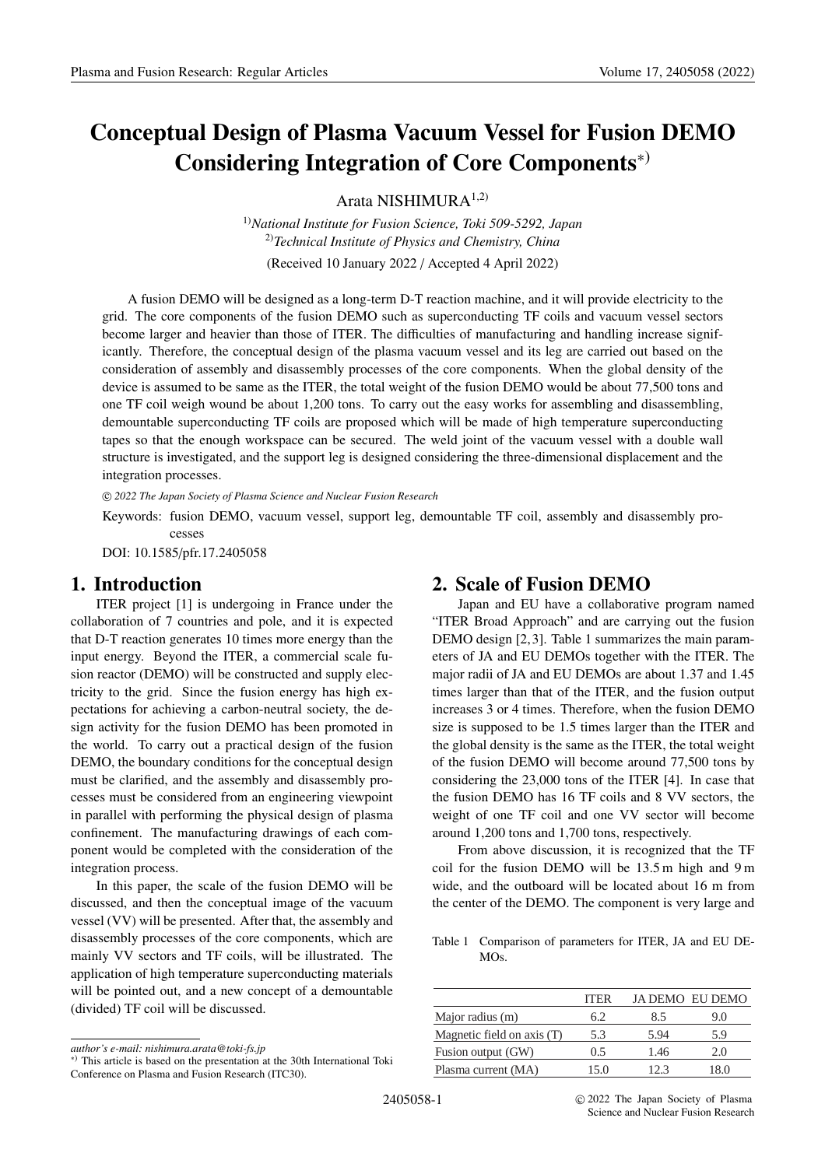# **Conceptual Design of Plasma Vacuum Vessel for Fusion DEMO Considering Integration of Core Components**∗)

Arata NISHIMUR $A^{1,2)}$ 

1)*National Institute for Fusion Science, Toki 509-5292, Japan* 2)*Technical Institute of Physics and Chemistry, China* (Received 10 January 2022 / Accepted 4 April 2022)

A fusion DEMO will be designed as a long-term D-T reaction machine, and it will provide electricity to the grid. The core components of the fusion DEMO such as superconducting TF coils and vacuum vessel sectors become larger and heavier than those of ITER. The difficulties of manufacturing and handling increase significantly. Therefore, the conceptual design of the plasma vacuum vessel and its leg are carried out based on the consideration of assembly and disassembly processes of the core components. When the global density of the device is assumed to be same as the ITER, the total weight of the fusion DEMO would be about 77,500 tons and one TF coil weigh wound be about 1,200 tons. To carry out the easy works for assembling and disassembling, demountable superconducting TF coils are proposed which will be made of high temperature superconducting tapes so that the enough workspace can be secured. The weld joint of the vacuum vessel with a double wall structure is investigated, and the support leg is designed considering the three-dimensional displacement and the integration processes.

c *2022 The Japan Society of Plasma Science and Nuclear Fusion Research*

Keywords: fusion DEMO, vacuum vessel, support leg, demountable TF coil, assembly and disassembly processes

DOI: 10.1585/pfr.17.2405058

# **1. Introduction**

ITER project [1] is undergoing in France under the collaboration of 7 countries and pole, and it is expected that D-T reaction generates 10 times more energy than the input energy. Beyond the ITER, a commercial scale fusion reactor (DEMO) will be constructed and supply electricity to the grid. Since the fusion energy has high expectations for achieving a carbon-neutral society, the design activity for the fusion DEMO has been promoted in the world. To carry out a practical design of the fusion DEMO, the boundary conditions for the conceptual design must be clarified, and the assembly and disassembly processes must be considered from an engineering viewpoint in parallel with performing the physical design of plasma confinement. The manufacturing drawings of each component would be completed with the consideration of the integration process.

In this paper, the scale of the fusion DEMO will be discussed, and then the conceptual image of the vacuum vessel (VV) will be presented. After that, the assembly and disassembly processes of the core components, which are mainly VV sectors and TF coils, will be illustrated. The application of high temperature superconducting materials will be pointed out, and a new concept of a demountable (divided) TF coil will be discussed.

# **2. Scale of Fusion DEMO**

Japan and EU have a collaborative program named "ITER Broad Approach" and are carrying out the fusion DEMO design [2, 3]. Table 1 summarizes the main parameters of JA and EU DEMOs together with the ITER. The major radii of JA and EU DEMOs are about 1.37 and 1.45 times larger than that of the ITER, and the fusion output increases 3 or 4 times. Therefore, when the fusion DEMO size is supposed to be 1.5 times larger than the ITER and the global density is the same as the ITER, the total weight of the fusion DEMO will become around 77,500 tons by considering the 23,000 tons of the ITER [4]. In case that the fusion DEMO has 16 TF coils and 8 VV sectors, the weight of one TF coil and one VV sector will become around 1,200 tons and 1,700 tons, respectively.

From above discussion, it is recognized that the TF coil for the fusion DEMO will be 13.5 m high and 9 m wide, and the outboard will be located about 16 m from the center of the DEMO. The component is very large and

Table 1 Comparison of parameters for ITER, JA and EU DE-MOs.

|                            | <b>ITER</b> |      | JA DEMO EU DEMO |
|----------------------------|-------------|------|-----------------|
| Major radius (m)           | 6.2         | 85   | 9.O             |
| Magnetic field on axis (T) | 5.3         | 5.94 | 5.9             |
| Fusion output (GW)         | 0.5         | 1.46 | 20              |
| Plasma current (MA)        | 150         | 12.3 | $\overline{30}$ |

*author's e-mail: nishimura.arata@toki-fs.jp*

<sup>∗</sup>) This article is based on the presentation at the 30th International Toki Conference on Plasma and Fusion Research (ITC30).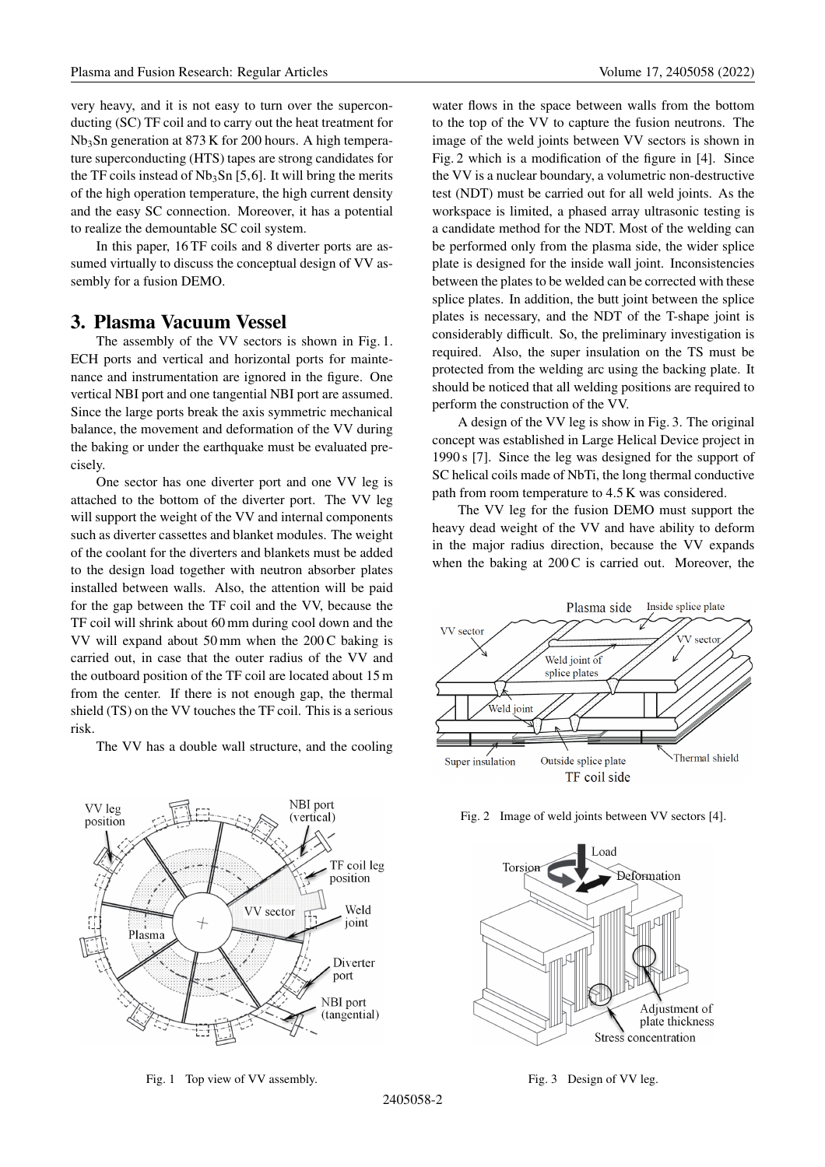very heavy, and it is not easy to turn over the superconducting (SC) TF coil and to carry out the heat treatment for Nb3Sn generation at 873 K for 200 hours. A high temperature superconducting (HTS) tapes are strong candidates for the TF coils instead of  $Nb<sub>3</sub>Sn$  [5,6]. It will bring the merits of the high operation temperature, the high current density and the easy SC connection. Moreover, it has a potential to realize the demountable SC coil system.

In this paper, 16 TF coils and 8 diverter ports are assumed virtually to discuss the conceptual design of VV assembly for a fusion DEMO.

#### **3. Plasma Vacuum Vessel**

The assembly of the VV sectors is shown in Fig. 1. ECH ports and vertical and horizontal ports for maintenance and instrumentation are ignored in the figure. One vertical NBI port and one tangential NBI port are assumed. Since the large ports break the axis symmetric mechanical balance, the movement and deformation of the VV during the baking or under the earthquake must be evaluated precisely.

One sector has one diverter port and one VV leg is attached to the bottom of the diverter port. The VV leg will support the weight of the VV and internal components such as diverter cassettes and blanket modules. The weight of the coolant for the diverters and blankets must be added to the design load together with neutron absorber plates installed between walls. Also, the attention will be paid for the gap between the TF coil and the VV, because the TF coil will shrink about 60 mm during cool down and the VV will expand about  $50 \text{ mm}$  when the  $200 \text{ C}$  baking is carried out, in case that the outer radius of the VV and the outboard position of the TF coil are located about 15 m from the center. If there is not enough gap, the thermal shield (TS) on the VV touches the TF coil. This is a serious risk.

The VV has a double wall structure, and the cooling



Fig. 1 Top view of VV assembly.

water flows in the space between walls from the bottom to the top of the VV to capture the fusion neutrons. The image of the weld joints between VV sectors is shown in Fig. 2 which is a modification of the figure in [4]. Since the VV is a nuclear boundary, a volumetric non-destructive test (NDT) must be carried out for all weld joints. As the workspace is limited, a phased array ultrasonic testing is a candidate method for the NDT. Most of the welding can be performed only from the plasma side, the wider splice plate is designed for the inside wall joint. Inconsistencies between the plates to be welded can be corrected with these splice plates. In addition, the butt joint between the splice plates is necessary, and the NDT of the T-shape joint is considerably difficult. So, the preliminary investigation is required. Also, the super insulation on the TS must be protected from the welding arc using the backing plate. It should be noticed that all welding positions are required to perform the construction of the VV.

A design of the VV leg is show in Fig. 3. The original concept was established in Large Helical Device project in 1990 s [7]. Since the leg was designed for the support of SC helical coils made of NbTi, the long thermal conductive path from room temperature to 4.5 K was considered.

The VV leg for the fusion DEMO must support the heavy dead weight of the VV and have ability to deform in the major radius direction, because the VV expands when the baking at  $200 \text{ C}$  is carried out. Moreover, the



Fig. 2 Image of weld joints between VV sectors [4].



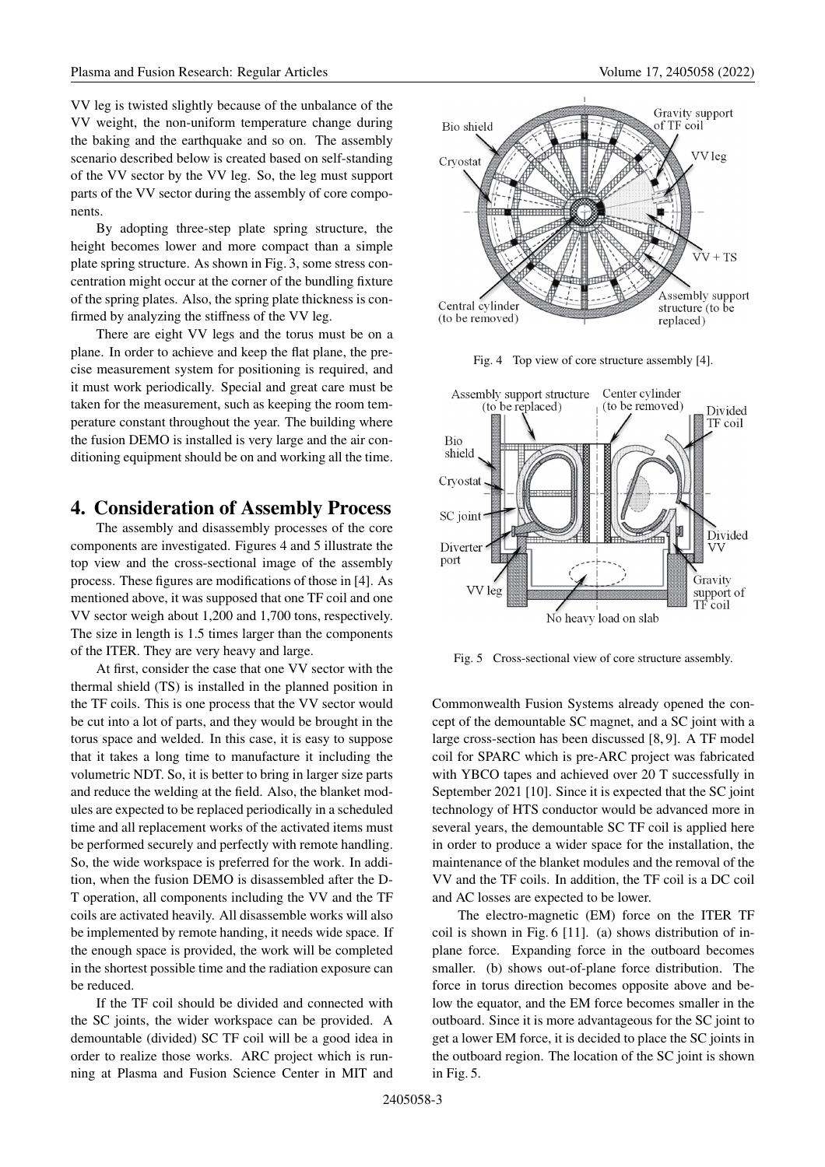VV leg is twisted slightly because of the unbalance of the VV weight, the non-uniform temperature change during the baking and the earthquake and so on. The assembly scenario described below is created based on self-standing of the VV sector by the VV leg. So, the leg must support parts of the VV sector during the assembly of core components.

By adopting three-step plate spring structure, the height becomes lower and more compact than a simple plate spring structure. As shown in Fig. 3, some stress concentration might occur at the corner of the bundling fixture of the spring plates. Also, the spring plate thickness is confirmed by analyzing the stiffness of the VV leg.

There are eight VV legs and the torus must be on a plane. In order to achieve and keep the flat plane, the precise measurement system for positioning is required, and it must work periodically. Special and great care must be taken for the measurement, such as keeping the room temperature constant throughout the year. The building where the fusion DEMO is installed is very large and the air conditioning equipment should be on and working all the time.

# **4. Consideration of Assembly Process**

The assembly and disassembly processes of the core components are investigated. Figures 4 and 5 illustrate the top view and the cross-sectional image of the assembly process. These figures are modifications of those in [4]. As mentioned above, it was supposed that one TF coil and one VV sector weigh about 1,200 and 1,700 tons, respectively. The size in length is 1.5 times larger than the components of the ITER. They are very heavy and large.

At first, consider the case that one VV sector with the thermal shield (TS) is installed in the planned position in the TF coils. This is one process that the VV sector would be cut into a lot of parts, and they would be brought in the torus space and welded. In this case, it is easy to suppose that it takes a long time to manufacture it including the volumetric NDT. So, it is better to bring in larger size parts and reduce the welding at the field. Also, the blanket modules are expected to be replaced periodically in a scheduled time and all replacement works of the activated items must be performed securely and perfectly with remote handling. So, the wide workspace is preferred for the work. In addition, when the fusion DEMO is disassembled after the D-T operation, all components including the VV and the TF coils are activated heavily. All disassemble works will also be implemented by remote handing, it needs wide space. If the enough space is provided, the work will be completed in the shortest possible time and the radiation exposure can be reduced.

If the TF coil should be divided and connected with the SC joints, the wider workspace can be provided. A demountable (divided) SC TF coil will be a good idea in order to realize those works. ARC project which is running at Plasma and Fusion Science Center in MIT and



Fig. 4 Top view of core structure assembly [4].



Fig. 5 Cross-sectional view of core structure assembly.

Commonwealth Fusion Systems already opened the concept of the demountable SC magnet, and a SC joint with a large cross-section has been discussed [8, 9]. A TF model coil for SPARC which is pre-ARC project was fabricated with YBCO tapes and achieved over 20 T successfully in September 2021 [10]. Since it is expected that the SC joint technology of HTS conductor would be advanced more in several years, the demountable SC TF coil is applied here in order to produce a wider space for the installation, the maintenance of the blanket modules and the removal of the VV and the TF coils. In addition, the TF coil is a DC coil and AC losses are expected to be lower.

The electro-magnetic (EM) force on the ITER TF coil is shown in Fig. 6 [11]. (a) shows distribution of inplane force. Expanding force in the outboard becomes smaller. (b) shows out-of-plane force distribution. The force in torus direction becomes opposite above and below the equator, and the EM force becomes smaller in the outboard. Since it is more advantageous for the SC joint to get a lower EM force, it is decided to place the SC joints in the outboard region. The location of the SC joint is shown in Fig. 5.